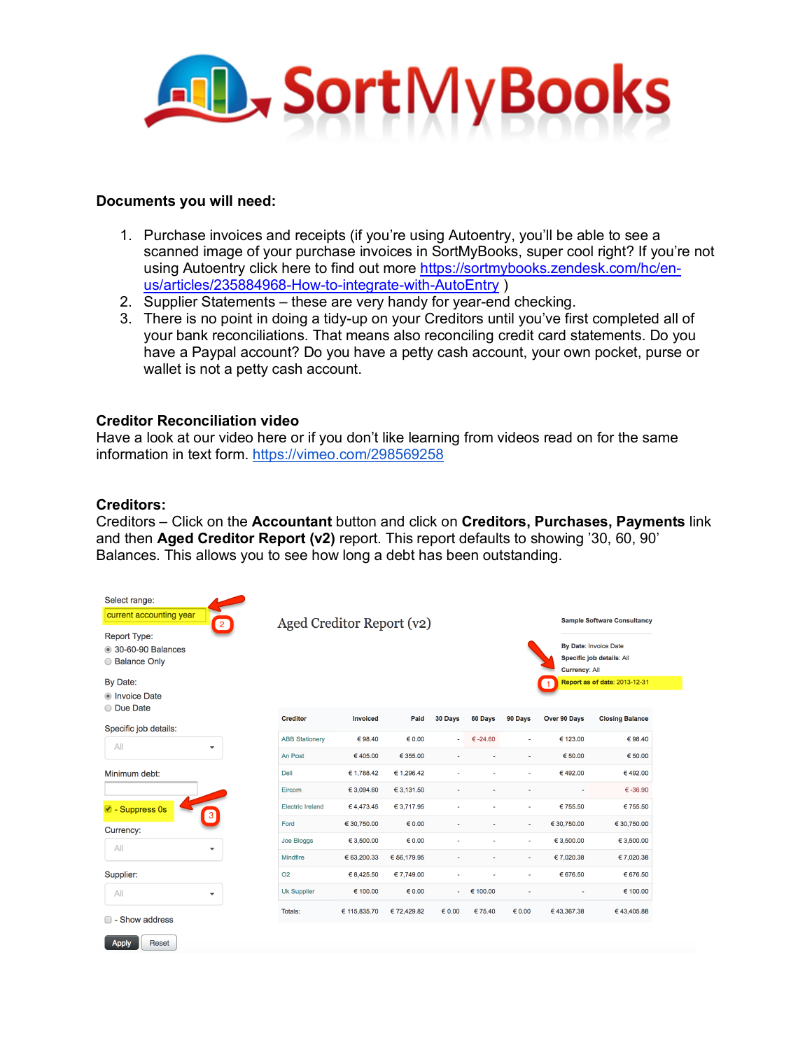

#### **Documents you will need:**

- 1. Purchase invoices and receipts (if you're using Autoentry, you'll be able to see a scanned image of your purchase invoices in SortMyBooks, super cool right? If you're not using Autoentry click here to find out more https://sortmybooks.zendesk.com/hc/enus/articles/235884968-How-to-integrate-with-AutoEntry )
- 2. Supplier Statements these are very handy for year-end checking.
- 3. There is no point in doing a tidy-up on your Creditors until you've first completed all of your bank reconciliations. That means also reconciling credit card statements. Do you have a Paypal account? Do you have a petty cash account, your own pocket, purse or wallet is not a petty cash account.

### **Creditor Reconciliation video**

Have a look at our video here or if you don't like learning from videos read on for the same information in text form. https://vimeo.com/298569258

#### **Creditors:**

Creditors – Click on the **Accountant** button and click on **Creditors, Purchases, Payments** link and then **Aged Creditor Report (v2)** report. This report defaults to showing '30, 60, 90' Balances. This allows you to see how long a debt has been outstanding.

| Select range:<br>current accounting year<br>2<br><b>Report Type:</b><br>30-60-90 Balances<br>◯ Balance Only<br>By Date: | Aged Creditor Report (v2) |                 | <b>Sample Software Consultancy</b><br>By Date: Invoice Date<br>Specific job details: All<br><b>Currency: All</b><br>Report as of date: 2013-12-31 |                 |                   |                 |                     |                        |
|-------------------------------------------------------------------------------------------------------------------------|---------------------------|-----------------|---------------------------------------------------------------------------------------------------------------------------------------------------|-----------------|-------------------|-----------------|---------------------|------------------------|
| lnvoice Date                                                                                                            |                           |                 |                                                                                                                                                   |                 |                   |                 |                     |                        |
| O Due Date<br>Specific job details:                                                                                     | <b>Creditor</b>           | <b>Invoiced</b> | Paid                                                                                                                                              | 30 Days         | 60 Days           | 90 Days         | <b>Over 90 Days</b> | <b>Closing Balance</b> |
| All<br>$\blacktriangledown$                                                                                             | <b>ABB Stationery</b>     | €98.40          | 60.00                                                                                                                                             | ٠               | $\epsilon$ -24.60 | $\overline{a}$  | € 123.00            | €98.40                 |
|                                                                                                                         | An Post                   | €405.00         | € 355.00                                                                                                                                          |                 |                   | $\blacksquare$  | € 50.00             | € 50.00                |
| Minimum debt:                                                                                                           | <b>Dell</b>               | € 1,788.42      | € 1,296.42                                                                                                                                        |                 |                   | $\blacksquare$  | €492.00             | €492.00                |
|                                                                                                                         | Eircom                    | € 3,094.60      | € 3,131.50                                                                                                                                        | ٠               |                   | $\blacksquare$  | ٠                   | $\epsilon$ -36.90      |
| ■ - Suppress 0s<br>$\overline{3}$                                                                                       | <b>Electric Ireland</b>   | €4,473.45       | € 3,717.95                                                                                                                                        |                 |                   | $\overline{a}$  | € 755.50            | € 755.50               |
| Currency:                                                                                                               | Ford                      | € 30,750.00     | $\epsilon$ 0.00                                                                                                                                   |                 |                   | $\blacksquare$  | € 30,750.00         | € 30,750.00            |
| All<br>$\blacktriangledown$                                                                                             | Joe Bloggs                | € 3,500.00      | € 0.00                                                                                                                                            |                 |                   |                 | € 3,500.00          | € 3,500.00             |
|                                                                                                                         | <b>Mindfire</b>           | € 63,200.33     | € 56,179.95                                                                                                                                       |                 |                   | $\blacksquare$  | € 7,020.38          | € 7,020.38             |
| Supplier:                                                                                                               | <b>O2</b>                 | € 8,425.50      | € 7,749.00                                                                                                                                        |                 |                   |                 | € 676.50            | € 676.50               |
| All<br>$\blacktriangledown$                                                                                             | <b>Uk Supplier</b>        | € 100.00        | $\epsilon$ 0.00                                                                                                                                   | ٠               | € 100.00          |                 |                     | € 100.00               |
| ■ - Show address<br><b>Apply</b><br>Reset                                                                               | Totals:                   | € 115,835.70    | €72,429.82                                                                                                                                        | $\epsilon$ 0.00 | €75.40            | $\epsilon$ 0.00 | €43,367.38          | €43,405.88             |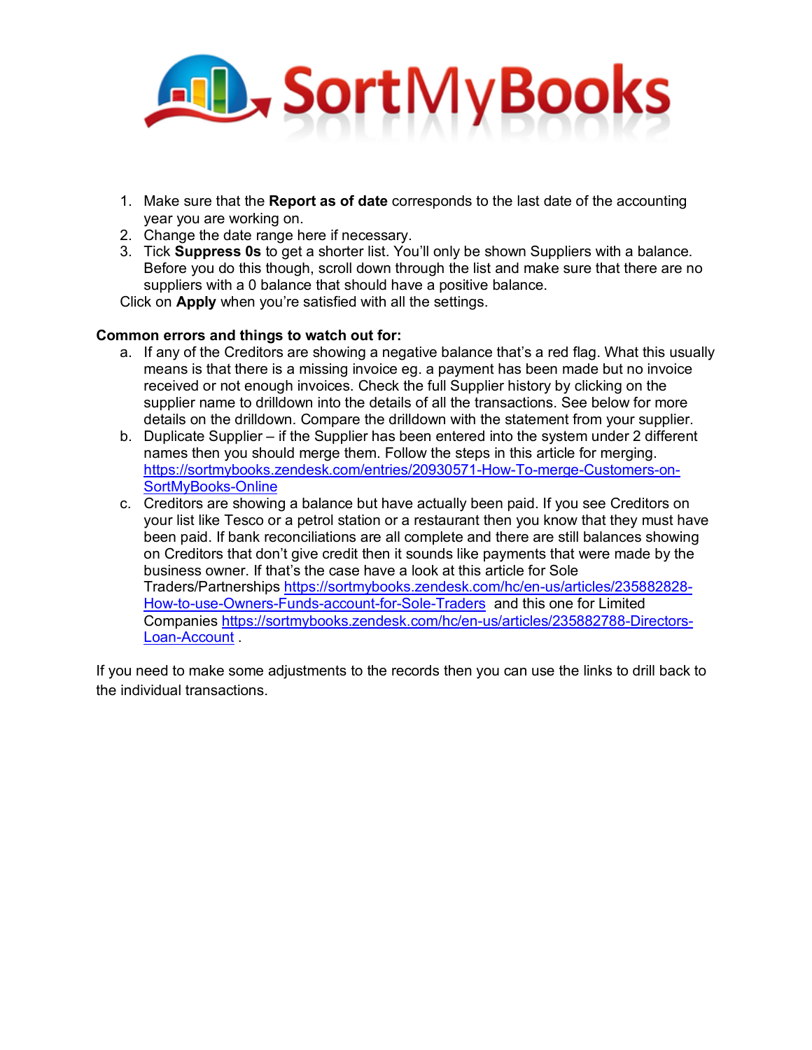

- 1. Make sure that the **Report as of date** corresponds to the last date of the accounting year you are working on.
- 2. Change the date range here if necessary.
- 3. Tick **Suppress 0s** to get a shorter list. You'll only be shown Suppliers with a balance. Before you do this though, scroll down through the list and make sure that there are no suppliers with a 0 balance that should have a positive balance.

Click on **Apply** when you're satisfied with all the settings.

## **Common errors and things to watch out for:**

- a. If any of the Creditors are showing a negative balance that's a red flag. What this usually means is that there is a missing invoice eg. a payment has been made but no invoice received or not enough invoices. Check the full Supplier history by clicking on the supplier name to drilldown into the details of all the transactions. See below for more details on the drilldown. Compare the drilldown with the statement from your supplier.
- b. Duplicate Supplier if the Supplier has been entered into the system under 2 different names then you should merge them. Follow the steps in this article for merging. https://sortmybooks.zendesk.com/entries/20930571-How-To-merge-Customers-on-SortMyBooks-Online
- c. Creditors are showing a balance but have actually been paid. If you see Creditors on your list like Tesco or a petrol station or a restaurant then you know that they must have been paid. If bank reconciliations are all complete and there are still balances showing on Creditors that don't give credit then it sounds like payments that were made by the business owner. If that's the case have a look at this article for Sole Traders/Partnerships https://sortmybooks.zendesk.com/hc/en-us/articles/235882828- How-to-use-Owners-Funds-account-for-Sole-Traders and this one for Limited Companies https://sortmybooks.zendesk.com/hc/en-us/articles/235882788-Directors-Loan-Account .

If you need to make some adjustments to the records then you can use the links to drill back to the individual transactions.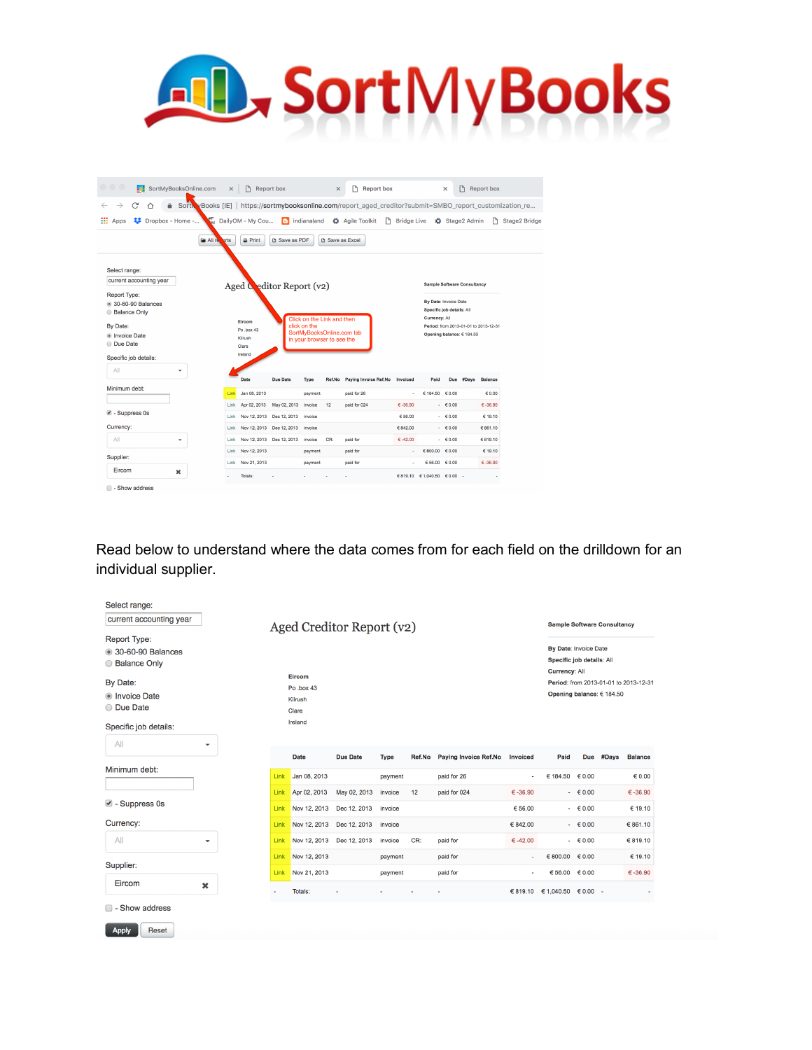# AL, SortMyBooks

| $\circ$ $\circ$ $\circ$                                         | . SortMyBooksOnline.com                                                                                        | $\times$     | $\Gamma$                     | Report box                   |                                                                  | $\times$               | Report box            |                                |                 | $\times$                                           |                                    | Report box                            |              |
|-----------------------------------------------------------------|----------------------------------------------------------------------------------------------------------------|--------------|------------------------------|------------------------------|------------------------------------------------------------------|------------------------|-----------------------|--------------------------------|-----------------|----------------------------------------------------|------------------------------------|---------------------------------------|--------------|
| $\rightarrow$<br>C<br>∧                                         | Sorth vBooks [IE] https://sortmybooksonline.com/report_aged_creditor?submit=SMBO_report_customization_re<br>a. |              |                              |                              |                                                                  |                        |                       |                                |                 |                                                    |                                    |                                       |              |
| 雛<br>Dropbox - Home -<br>Apps                                   | $\mathbf{M}$                                                                                                   |              | DailyOM - My Cou             |                              | $\left  \begin{array}{c} \hline \end{array} \right $ indianaland |                        | Agile Toolkit         | <b>P</b><br><b>Bridge Live</b> |                 |                                                    | Stage2 Admin                       | n.                                    | Stage2 Bridg |
|                                                                 | <b>Fill</b> All re-                                                                                            | orts         | <b>B</b> Print               | <b>B</b> Save as PDF         |                                                                  | <b>B</b> Save as Excel |                       |                                |                 |                                                    |                                    |                                       |              |
| Select range:<br>current accounting year                        |                                                                                                                |              | Aged Ceditor Report (v2)     |                              |                                                                  |                        |                       |                                |                 |                                                    | <b>Sample Software Consultancy</b> |                                       |              |
| <b>Report Type:</b><br>30-60-90 Balances<br><b>Balance Only</b> |                                                                                                                |              |                              |                              | Click on the Link and then                                       |                        |                       |                                | Currency: All   | By Date: Invoice Date<br>Specific job details: All |                                    |                                       |              |
| By Date:                                                        |                                                                                                                |              | Eircom<br>Po .box 43         |                              | click on the                                                     |                        |                       |                                |                 |                                                    |                                    | Period: from 2013-01-01 to 2013-12-31 |              |
| lnvoice Date<br><b>Due Date</b>                                 |                                                                                                                |              | Kilrush<br>Clare             |                              | SortMyBooksOnline.com tab<br>in your browser to see the          |                        |                       |                                |                 |                                                    | Opening balance: € 184.50          |                                       |              |
| Specific job details:                                           |                                                                                                                |              | Ireland                      |                              |                                                                  |                        |                       |                                |                 |                                                    |                                    |                                       |              |
| All                                                             | ٠                                                                                                              |              |                              |                              |                                                                  |                        |                       |                                |                 |                                                    |                                    |                                       |              |
|                                                                 |                                                                                                                |              | Date                         | <b>Due Date</b>              | <b>Type</b>                                                      | Ref.No                 | Paying Invoice Ref.No | Invoiced                       | Paid            |                                                    | Due #Days                          | <b>Balance</b>                        |              |
|                                                                 |                                                                                                                | Link         | Jan 08, 2013                 |                              | payment                                                          |                        | paid for 26           |                                | € 184.50 € 0.00 |                                                    |                                    | € 0.00                                |              |
|                                                                 |                                                                                                                | Link<br>Link | Apr 02, 2013<br>Nov 12, 2013 | May 02, 2013<br>Dec 12, 2013 | invoice<br>invoice                                               | 12                     | paid for 024          | $6 - 36.90$<br>€ 56.00         |                 | $-60.00$<br>$-60.00$                               |                                    | $6 - 36.90$<br>€ 19.10                |              |
|                                                                 |                                                                                                                | Link         | Nov 12, 2013                 | Dec 12, 2013                 | invoice                                                          |                        |                       | € 842.00                       |                 | $-60.00$                                           |                                    | €861.10                               |              |
| Minimum debt:<br>■ - Suppress 0s<br>Currency:<br>All            | $\checkmark$                                                                                                   | Link         | Nov 12, 2013                 | Dec 12, 2013                 | invoice                                                          | CR:                    | paid for              | $6 - 42.00$                    |                 | $-60.00$                                           |                                    | €819.10                               |              |
|                                                                 |                                                                                                                | <b>Link</b>  | Nov 12, 2013                 |                              | payment                                                          |                        | paid for              |                                | €800.00 €0.00   |                                                    |                                    | € 19.10                               |              |
| Supplier:<br>Eircom                                             |                                                                                                                | Link         | Nov 21, 2013                 |                              | payment                                                          |                        | paid for              |                                | € 56.00         | $\epsilon$ 0.00                                    |                                    | $6 - 36.90$                           |              |

Read below to understand where the data comes from for each field on the drilldown for an individual supplier.

| current accounting year                                         |   |              |                                                    | Aged Creditor Report (v2)    |                        |        |                                      |                       |                                                    |                       | <b>Sample Software Consultancy</b> |                                       |
|-----------------------------------------------------------------|---|--------------|----------------------------------------------------|------------------------------|------------------------|--------|--------------------------------------|-----------------------|----------------------------------------------------|-----------------------|------------------------------------|---------------------------------------|
| <b>Report Type:</b><br>30-60-90 Balances<br>◯ Balance Only      |   |              |                                                    |                              |                        |        |                                      |                       | By Date: Invoice Date<br>Specific job details: All |                       |                                    |                                       |
| By Date:<br>lnvoice Date<br>O Due Date<br>Specific job details: |   |              | Eircom<br>Po.box 43<br>Kilrush<br>Clare<br>Ireland |                              |                        |        |                                      |                       | <b>Currency: All</b>                               |                       | Opening balance: € 184.50          | Period: from 2013-01-01 to 2013-12-31 |
| All                                                             | ۰ |              |                                                    |                              |                        |        |                                      |                       |                                                    |                       |                                    |                                       |
| Minimum debt:                                                   |   | Link         | <b>Date</b><br>Jan 08, 2013                        | <b>Due Date</b>              | <b>Type</b><br>payment | Ref.No | Paying Invoice Ref.No<br>paid for 26 | Invoiced              | Paid<br>€ 184.50 $€ 0.00$                          | <b>Due</b>            | #Days                              | <b>Balance</b><br>60.00               |
| $\blacksquare$ - Suppress 0s                                    |   | Link<br>Link | Apr 02, 2013<br>Nov 12, 2013                       | May 02, 2013<br>Dec 12, 2013 | invoice<br>invoice     | 12     | paid for 024                         | $€ -36.90$<br>€ 56.00 |                                                    | $- 60.00$<br>$-60.00$ |                                    | $\epsilon$ -36.90<br>€ 19.10          |
| Currency:                                                       |   | Link         | Nov 12, 2013                                       | Dec 12, 2013                 | invoice                |        |                                      | € 842.00              |                                                    | $- 60.00$             |                                    | € 861.10                              |
| All                                                             | ٠ | Link         | Nov 12, 2013                                       | Dec 12, 2013                 | invoice                | CR:    | paid for                             | $€ -42.00$            |                                                    | $- 60.00$             |                                    | € 819.10                              |
| Supplier:                                                       |   | Link         | Nov 12, 2013                                       |                              | payment                |        | paid for                             |                       | 6800.00 60.00                                      |                       |                                    | € 19.10                               |
| Eircom                                                          | × | Link<br>٠    | Nov 21, 2013<br>Totals:                            |                              | payment                |        | paid for                             | ٠                     | 656.00<br>$\in$ 819.10 $\in$ 1,040.50 $\in$ 0.00 - | $\epsilon$ 0.00       |                                    | $€ -36.90$                            |
| □ - Show address                                                |   |              |                                                    |                              |                        |        |                                      |                       |                                                    |                       |                                    |                                       |
| <b>Reset</b><br><b>Apply</b>                                    |   |              |                                                    |                              |                        |        |                                      |                       |                                                    |                       |                                    |                                       |